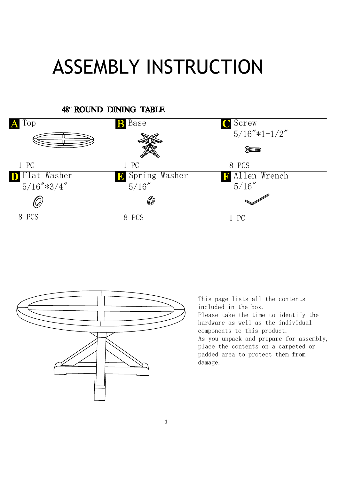## ASSEMBLY INSTRUCTION





This page lists all the contents included in the box. Please take the time to identify the hardware as well as the individual components to this product. As you unpack and prepare for assembly, place the contents on a carpeted or padded area to protect them from damage.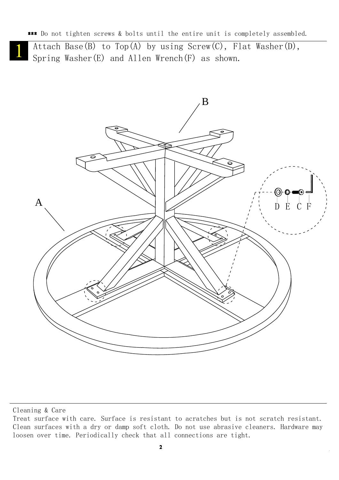\*\*\* Do not tighten screws & bolts until the entire unit is completely assembled.

Attach Base(B) to Top(A) by using Screw(C), Flat Washer(D), Spring Washer(E) and Allen Wrench(F) as shown.



Cleaning & Care

Treat surface with care. Surface is resistant to acratches but is not scratch resistant. Clean surfaces with a dry or damp soft cloth. Do not use abrasive cleaners. Hardware may loosen over time. Periodically check that all connections are tight.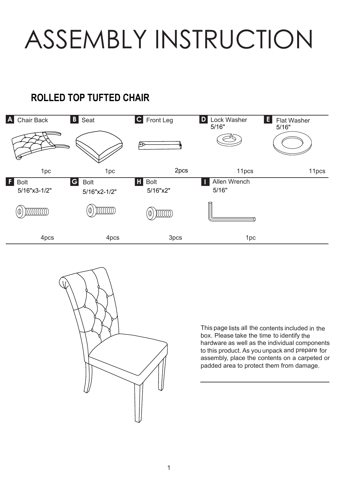ASSEMBLY INSTRUCTION

## **E20LLED TOP TUFTED CHAIR**





box. Please take the time to identify the This page lists all the contents included in the hardware as well as the individual components to this product. As you unpack and prepare for assembly, place the contents on a carpeted or padded area to protect them from damage.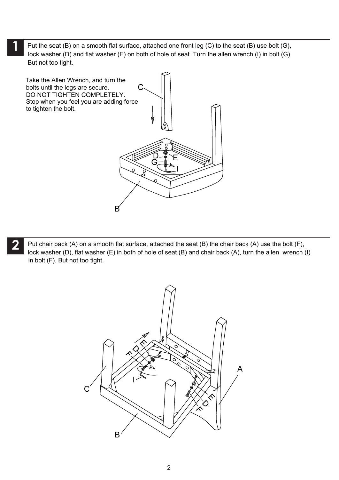lock washer (D) and flat washer (E) on both of hole of seat. Turn the allen wrench (I) in bolt (G). Put the seat (B) on a smooth flat surface, attached one front leg (C) to the seat (B) use bolt (G), **1** But not too tight.



lock washer (D), flat washer (E) in both of hole of seat (B) and chair back (A), turn the allen wrench (I) Put chair back (A) on a smooth flat surface, attached the seat (B) the chair back (A) use the bolt (F), **2** in bolt (F). But not too tight.